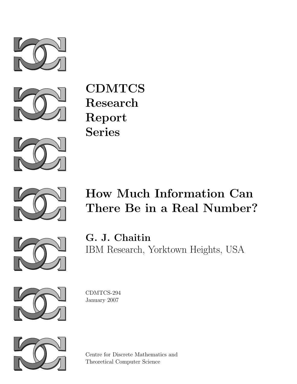



CDMTCS Research Report Series





# How Much Information Can There Be in a Real Number?



G. J. Chaitin IBM Research, Yorktown Heights, USA



CDMTCS-294 January 2007



Centre for Discrete Mathematics and Theoretical Computer Science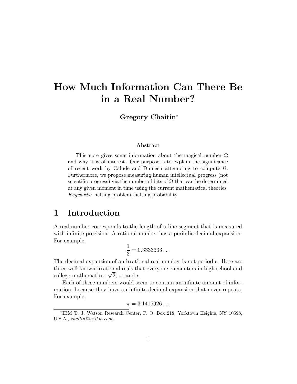## **How Much Information Can There Be in a Real Number?**

**Gregory Chaitin**<sup>∗</sup>

#### **Abstract**

This note gives some information about the magical number  $\Omega$ and why it is of interest. Our purpose is to explain the significance of recent work by Calude and Dinneen attempting to compute  $\Omega$ . Furthermore, we propose measuring human intellectual progress (not scientific progress) via the number of bits of  $\Omega$  that can be determined at any given moment in time using the current mathematical theories. Keywords: halting problem, halting probability.

#### **1 Introduction**

A real number corresponds to the length of a line segment that is measured with infinite precision. A rational number has a periodic decimal expansion. For example,

$$
\frac{1}{3} = 0.33333333\dots
$$

The decimal expansion of an irrational real number is not periodic. Here are three well-known irrational reals that everyone encounters in high school and college mathematics:  $\sqrt{2}$ ,  $\pi$ , and e.

Each of these numbers would seem to contain an infinite amount of information, because they have an infinite decimal expansion that never repeats. For example,

$$
\pi=3.1415926\ldots
$$

<sup>∗</sup>IBM T. J. Watson Research Center, P. O. Box 218, Yorktown Heights, NY 10598, U.S.A., chaitin@us.ibm.com.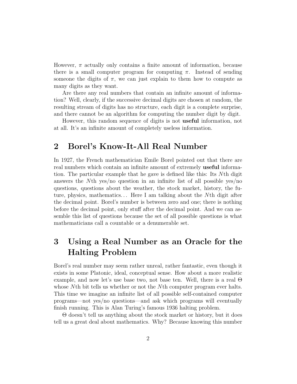However,  $\pi$  actually only contains a finite amount of information, because there is a small computer program for computing  $\pi$ . Instead of sending someone the digits of  $\pi$ , we can just explain to them how to compute as many digits as they want.

Are there any real numbers that contain an infinite amount of information? Well, clearly, if the successive decimal digits are chosen at random, the resulting stream of digits has no structure, each digit is a complete surprise, and there cannot be an algorithm for computing the number digit by digit.

However, this random sequence of digits is not **useful** information, not at all. It's an infinite amount of completely useless information.

#### **2 Borel's Know-It-All Real Number**

In 1927, the French mathematician Emile Borel pointed out that there are real numbers which contain an infinite amount of extremely **useful** information. The particular example that he gave is defined like this: Its Nth digit answers the Nth yes/no question in an infinite list of all possible yes/no questions, questions about the weather, the stock market, history, the future, physics, mathematics. . . Here I am talking about the Nth digit after the decimal point. Borel's number is between zero and one; there is nothing before the decimal point, only stuff after the decimal point. And we can assemble this list of questions because the set of all possible questions is what mathematicians call a countable or a denumerable set.

#### **3 Using a Real Number as an Oracle for the Halting Problem**

Borel's real number may seem rather unreal, rather fantastic, even though it exists in some Platonic, ideal, conceptual sense. How about a more realistic example, and now let's use base two, not base ten. Well, there is a real Θ whose Nth bit tells us whether or not the Nth computer program ever halts. This time we imagine an infinite list of all possible self-contained computer programs—not yes/no questions—and ask which programs will eventually finish running. This is Alan Turing's famous 1936 halting problem.

Θ doesn't tell us anything about the stock market or history, but it does tell us a great deal about mathematics. Why? Because knowing this number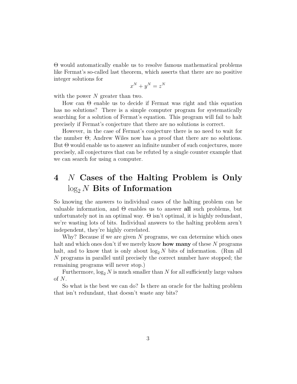Θ would automatically enable us to resolve famous mathematical problems like Fermat's so-called last theorem, which asserts that there are no positive integer solutions for

$$
x^N + y^N = z^N
$$

with the power  $N$  greater than two.

How can Θ enable us to decide if Fermat was right and this equation has no solutions? There is a simple computer program for systematically searching for a solution of Fermat's equation. This program will fail to halt precisely if Fermat's conjecture that there are no solutions is correct.

However, in the case of Fermat's conjecture there is no need to wait for the number  $\Theta$ ; Andrew Wiles now has a proof that there are no solutions. But Θ would enable us to answer an infinite number of such conjectures, more precisely, all conjectures that can be refuted by a single counter example that we can search for using a computer.

#### **4** N **Cases of the Halting Problem is Only** log<sup>2</sup> <sup>N</sup> **Bits of Information**

So knowing the answers to individual cases of the halting problem can be valuable information, and Θ enables us to answer **all** such problems, but unfortunately not in an optimal way.  $\Theta$  isn't optimal, it is highly redundant, we're wasting lots of bits. Individual answers to the halting problem aren't independent, they're highly correlated.

Why? Because if we are given  $N$  programs, we can determine which ones halt and which ones don't if we merely know **how many** of these N programs halt, and to know that is only about  $log_2 N$  bits of information. (Run all N programs in parallel until precisely the correct number have stopped; the remaining programs will never stop.)

Furthermore,  $\log_2 N$  is much smaller than N for all sufficiently large values of N.

So what is the best we can do? Is there an oracle for the halting problem that isn't redundant, that doesn't waste any bits?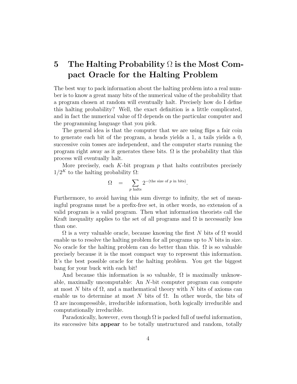### **5 The Halting Probability** Ω **is the Most Compact Oracle for the Halting Problem**

The best way to pack information about the halting problem into a real number is to know a great many bits of the numerical value of the probability that a program chosen at random will eventually halt. Precisely how do I define this halting probability? Well, the exact definition is a little complicated, and in fact the numerical value of  $\Omega$  depends on the particular computer and the programming language that you pick.

The general idea is that the computer that we are using flips a fair coin to generate each bit of the program, a heads yields a 1, a tails yields a 0, successive coin tosses are independent, and the computer starts running the program right away as it generates these bits.  $\Omega$  is the probability that this process will eventually halt.

More precisely, each  $K$ -bit program  $p$  that halts contributes precisely  $1/2<sup>K</sup>$  to the halting probability  $\Omega$ :

$$
\Omega = \sum_{p \text{ halts}} 2^{-(\text{the size of } p \text{ in bits})}.
$$

Furthermore, to avoid having this sum diverge to infinity, the set of meaningful programs must be a prefix-free set, in other words, no extension of a valid program is a valid program. Then what information theorists call the Kraft inequality applies to the set of all programs and  $\Omega$  is necessarily less than one.

 $\Omega$  is a very valuable oracle, because knowing the first N bits of  $\Omega$  would enable us to resolve the halting problem for all programs up to N bits in size. No oracle for the halting problem can do better than this.  $\Omega$  is so valuable precisely because it is the most compact way to represent this information. It's the best possible oracle for the halting problem. You get the biggest bang for your buck with each bit!

And because this information is so valuable,  $\Omega$  is maximally unknowable, maximally uncomputable: An N-bit computer program can compute at most N bits of  $\Omega$ , and a mathematical theory with N bits of axioms can enable us to determine at most N bits of  $\Omega$ . In other words, the bits of Ω are incompressible, irreducible information, both logically irreducible and computationally irreducible.

Paradoxically, however, even though  $\Omega$  is packed full of useful information, its successive bits **appear** to be totally unstructured and random, totally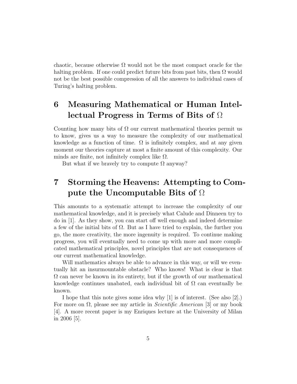chaotic, because otherwise  $\Omega$  would not be the most compact oracle for the halting problem. If one could predict future bits from past bits, then  $\Omega$  would not be the best possible compression of all the answers to individual cases of Turing's halting problem.

### **6 Measuring Mathematical or Human Intellectual Progress in Terms of Bits of** Ω

Counting how many bits of  $\Omega$  our current mathematical theories permit us to know, gives us a way to measure the complexity of our mathematical knowledge as a function of time.  $\Omega$  is infinitely complex, and at any given moment our theories capture at most a finite amount of this complexity. Our minds are finite, not infinitely complex like  $\Omega$ .

But what if we bravely try to compute  $\Omega$  anyway?

#### **7 Storming the Heavens: Attempting to Compute the Uncomputable Bits of** Ω

This amounts to a systematic attempt to increase the complexity of our mathematical knowledge, and it is precisely what Calude and Dinneen try to do in [1]. As they show, you can start off well enough and indeed determine a few of the initial bits of  $\Omega$ . But as I have tried to explain, the further you go, the more creativity, the more ingenuity is required. To continue making progress, you will eventually need to come up with more and more complicated mathematical principles, novel principles that are not consequences of our current mathematical knowledge.

Will mathematics always be able to advance in this way, or will we eventually hit an insurmountable obstacle? Who knows! What is clear is that  $\Omega$  can never be known in its entirety, but if the growth of our mathematical knowledge continues unabated, each individual bit of  $\Omega$  can eventually be known.

I hope that this note gives some idea why [1] is of interest. (See also [2].) For more on  $\Omega$ , please see my article in *Scientific American* [3] or my book [4]. A more recent paper is my Enriques lecture at the University of Milan in 2006 [5].